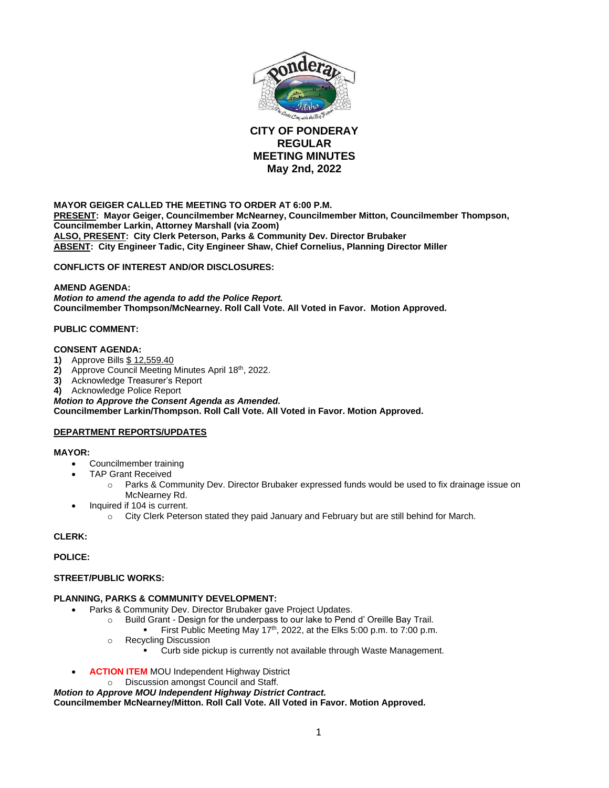

# **CITY OF PONDERAY REGULAR MEETING MINUTES May 2nd, 2022**

**MAYOR GEIGER CALLED THE MEETING TO ORDER AT 6:00 P.M. PRESENT: Mayor Geiger, Councilmember McNearney, Councilmember Mitton, Councilmember Thompson, Councilmember Larkin, Attorney Marshall (via Zoom) ALSO, PRESENT: City Clerk Peterson, Parks & Community Dev. Director Brubaker ABSENT: City Engineer Tadic, City Engineer Shaw, Chief Cornelius, Planning Director Miller**

**CONFLICTS OF INTEREST AND/OR DISCLOSURES:**

### **AMEND AGENDA:**

*Motion to amend the agenda to add the Police Report.* **Councilmember Thompson/McNearney. Roll Call Vote. All Voted in Favor. Motion Approved.**

## **PUBLIC COMMENT:**

#### **CONSENT AGENDA:**

- **1)** Approve Bills \$ 12,559.40
- **2)** Approve Council Meeting Minutes April 18th, 2022.
- **3)** Acknowledge Treasurer's Report
- **4)** Acknowledge Police Report

*Motion to Approve the Consent Agenda as Amended.* **Councilmember Larkin/Thompson. Roll Call Vote. All Voted in Favor. Motion Approved.** 

## **DEPARTMENT REPORTS/UPDATES**

#### **MAYOR:**

- Councilmember training
- TAP Grant Received
	- o Parks & Community Dev. Director Brubaker expressed funds would be used to fix drainage issue on McNearney Rd.
	- Inquired if 104 is current.
		- o City Clerk Peterson stated they paid January and February but are still behind for March.

## **CLERK:**

#### **POLICE:**

#### **STREET/PUBLIC WORKS:**

## **PLANNING, PARKS & COMMUNITY DEVELOPMENT:**

- Parks & Community Dev. Director Brubaker gave Project Updates.
	- o Build Grant Design for the underpass to our lake to Pend d' Oreille Bay Trail.
	- First Public Meeting May 17<sup>th</sup>, 2022, at the Elks 5:00 p.m. to 7:00 p.m. o Recycling Discussion
	- - Curb side pickup is currently not available through Waste Management.
- **ACTION ITEM MOU Independent Highway District** 
	- o Discussion amongst Council and Staff.

*Motion to Approve MOU Independent Highway District Contract.*

**Councilmember McNearney/Mitton. Roll Call Vote. All Voted in Favor. Motion Approved.**